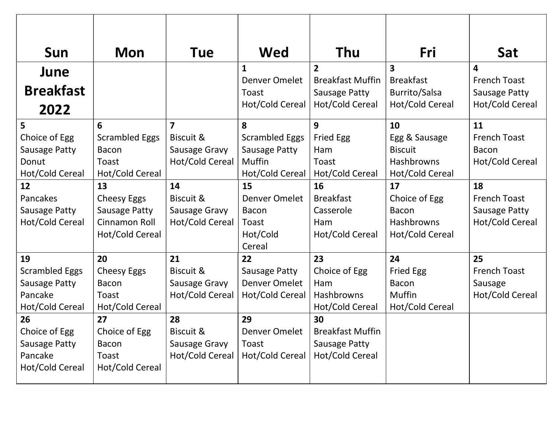| Sun                   | <b>Mon</b>            | Tue                     | <b>Wed</b>            | Thu                     | Fri              | Sat                 |
|-----------------------|-----------------------|-------------------------|-----------------------|-------------------------|------------------|---------------------|
| June                  |                       |                         | 1                     | $\overline{2}$          | 3                | 4                   |
|                       |                       |                         | Denver Omelet         | <b>Breakfast Muffin</b> | <b>Breakfast</b> | <b>French Toast</b> |
| <b>Breakfast</b>      |                       |                         | Toast                 | Sausage Patty           | Burrito/Salsa    | Sausage Patty       |
| 2022                  |                       |                         | Hot/Cold Cereal       | Hot/Cold Cereal         | Hot/Cold Cereal  | Hot/Cold Cereal     |
| 5                     | 6                     | $\overline{\mathbf{z}}$ | 8                     | 9                       | 10               | 11                  |
| Choice of Egg         | <b>Scrambled Eggs</b> | Biscuit &               | <b>Scrambled Eggs</b> | <b>Fried Egg</b>        | Egg & Sausage    | <b>French Toast</b> |
| <b>Sausage Patty</b>  | <b>Bacon</b>          | Sausage Gravy           | Sausage Patty         | Ham                     | <b>Biscuit</b>   | <b>Bacon</b>        |
| Donut                 | Toast                 | Hot/Cold Cereal         | Muffin                | Toast                   | Hashbrowns       | Hot/Cold Cereal     |
| Hot/Cold Cereal       | Hot/Cold Cereal       |                         | Hot/Cold Cereal       | Hot/Cold Cereal         | Hot/Cold Cereal  |                     |
| 12                    | 13                    | 14                      | 15                    | 16                      | 17               | 18                  |
| Pancakes              | <b>Cheesy Eggs</b>    | Biscuit &               | Denver Omelet         | <b>Breakfast</b>        | Choice of Egg    | <b>French Toast</b> |
| Sausage Patty         | Sausage Patty         | Sausage Gravy           | <b>Bacon</b>          | Casserole               | <b>Bacon</b>     | Sausage Patty       |
| Hot/Cold Cereal       | Cinnamon Roll         | Hot/Cold Cereal         | Toast                 | Ham                     | Hashbrowns       | Hot/Cold Cereal     |
|                       | Hot/Cold Cereal       |                         | Hot/Cold              | Hot/Cold Cereal         | Hot/Cold Cereal  |                     |
|                       |                       |                         | Cereal                |                         |                  |                     |
| 19                    | 20                    | 21                      | 22                    | 23                      | 24               | 25                  |
| <b>Scrambled Eggs</b> | <b>Cheesy Eggs</b>    | Biscuit &               | Sausage Patty         | Choice of Egg           | <b>Fried Egg</b> | <b>French Toast</b> |
| <b>Sausage Patty</b>  | <b>Bacon</b>          | Sausage Gravy           | Denver Omelet         | Ham                     | <b>Bacon</b>     | Sausage             |
| Pancake               | Toast                 | Hot/Cold Cereal         | Hot/Cold Cereal       | Hashbrowns              | <b>Muffin</b>    | Hot/Cold Cereal     |
| Hot/Cold Cereal       | Hot/Cold Cereal       |                         |                       | Hot/Cold Cereal         | Hot/Cold Cereal  |                     |
| 26                    | 27                    | 28                      | 29                    | 30                      |                  |                     |
| Choice of Egg         | Choice of Egg         | Biscuit &               | Denver Omelet         | <b>Breakfast Muffin</b> |                  |                     |
| <b>Sausage Patty</b>  | Bacon                 | Sausage Gravy           | Toast                 | <b>Sausage Patty</b>    |                  |                     |
| Pancake               | Toast                 | Hot/Cold Cereal         | Hot/Cold Cereal       | Hot/Cold Cereal         |                  |                     |
| Hot/Cold Cereal       | Hot/Cold Cereal       |                         |                       |                         |                  |                     |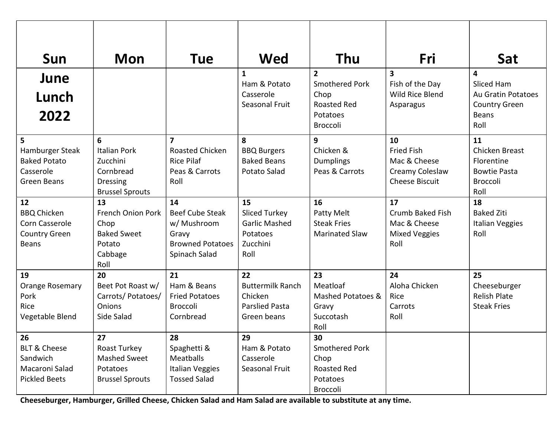| Sun                             | <b>Mon</b>                   | Tue                     | Wed                         | Thu                                     | Fri                                        | Sat                                          |
|---------------------------------|------------------------------|-------------------------|-----------------------------|-----------------------------------------|--------------------------------------------|----------------------------------------------|
| June                            |                              |                         | 1<br>Ham & Potato           | $\overline{2}$<br><b>Smothered Pork</b> | $\overline{\mathbf{3}}$<br>Fish of the Day | 4<br>Sliced Ham                              |
| Lunch                           |                              |                         | Casserole<br>Seasonal Fruit | Chop<br><b>Roasted Red</b>              | Wild Rice Blend                            | Au Gratin Potatoes                           |
| 2022                            |                              |                         |                             | Potatoes<br>Broccoli                    | Asparagus                                  | <b>Country Green</b><br><b>Beans</b><br>Roll |
| 5                               | 6                            | 7                       | 8                           | 9                                       | 10                                         | 11                                           |
| Hamburger Steak                 | <b>Italian Pork</b>          | Roasted Chicken         | <b>BBQ Burgers</b>          | Chicken &                               | <b>Fried Fish</b>                          | Chicken Breast                               |
| <b>Baked Potato</b>             | Zucchini                     | <b>Rice Pilaf</b>       | <b>Baked Beans</b>          | <b>Dumplings</b>                        | Mac & Cheese                               | Florentine                                   |
| Casserole<br><b>Green Beans</b> | Cornbread<br><b>Dressing</b> | Peas & Carrots<br>Roll  | Potato Salad                | Peas & Carrots                          | Creamy Coleslaw<br><b>Cheese Biscuit</b>   | <b>Bowtie Pasta</b><br><b>Broccoli</b>       |
|                                 | <b>Brussel Sprouts</b>       |                         |                             |                                         |                                            | Roll                                         |
| 12                              | 13                           | 14                      | 15                          | 16                                      | 17                                         | 18                                           |
| <b>BBQ Chicken</b>              | French Onion Pork            | <b>Beef Cube Steak</b>  | <b>Sliced Turkey</b>        | Patty Melt                              | Crumb Baked Fish                           | <b>Baked Ziti</b>                            |
| Corn Casserole                  | Chop                         | w/ Mushroom             | <b>Garlic Mashed</b>        | <b>Steak Fries</b>                      | Mac & Cheese                               | Italian Veggies                              |
| <b>Country Green</b>            | <b>Baked Sweet</b>           | Gravy                   | Potatoes                    | <b>Marinated Slaw</b>                   | <b>Mixed Veggies</b>                       | Roll                                         |
| <b>Beans</b>                    | Potato                       | <b>Browned Potatoes</b> | Zucchini                    |                                         | Roll                                       |                                              |
|                                 | Cabbage                      | Spinach Salad           | Roll                        |                                         |                                            |                                              |
|                                 | Roll                         |                         |                             |                                         |                                            |                                              |
| 19                              | 20                           | 21                      | 22                          | 23                                      | 24                                         | 25                                           |
| Orange Rosemary                 | Beet Pot Roast w/            | Ham & Beans             | <b>Buttermilk Ranch</b>     | Meatloaf                                | Aloha Chicken                              | Cheeseburger                                 |
| Pork                            | Carrots/Potatoes/            | <b>Fried Potatoes</b>   | Chicken                     | Mashed Potatoes &                       | Rice                                       | <b>Relish Plate</b>                          |
| Rice                            | Onions                       | Broccoli                | <b>Parslied Pasta</b>       | Gravy                                   | Carrots                                    | <b>Steak Fries</b>                           |
| Vegetable Blend                 | Side Salad                   | Cornbread               | Green beans                 | Succotash<br>Roll                       | Roll                                       |                                              |
| 26                              | 27                           | 28                      | 29                          | 30                                      |                                            |                                              |
| <b>BLT &amp; Cheese</b>         | Roast Turkey                 | Spaghetti &             | Ham & Potato                | <b>Smothered Pork</b>                   |                                            |                                              |
| Sandwich                        | Mashed Sweet                 | Meatballs               | Casserole                   | Chop                                    |                                            |                                              |
| Macaroni Salad                  | Potatoes                     | <b>Italian Veggies</b>  | Seasonal Fruit              | Roasted Red                             |                                            |                                              |
| <b>Pickled Beets</b>            | <b>Brussel Sprouts</b>       | <b>Tossed Salad</b>     |                             | Potatoes                                |                                            |                                              |
|                                 |                              |                         |                             | Broccoli                                |                                            |                                              |

Cheeseburger, Hamburger, Grilled Cheese, Chicken Salad and Ham Salad are available to substitute at any time.